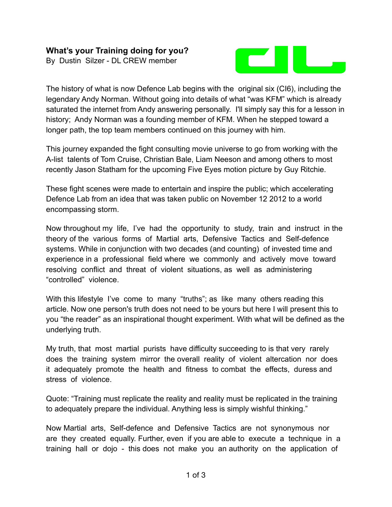## **What's your Training doing for you?**

By Dustin Silzer - DL CREW member



The history of what is now Defence Lab begins with the original six (CI6), including the legendary Andy Norman. Without going into details of what "was KFM" which is already saturated the internet from Andy answering personally. I'll simply say this for a lesson in history; Andy Norman was a founding member of KFM. When he stepped toward a longer path, the top team members continued on this journey with him.

This journey expanded the fight consulting movie universe to go from working with the A-list talents of Tom Cruise, Christian Bale, Liam Neeson and among others to most recently Jason Statham for the upcoming Five Eyes motion picture by Guy Ritchie.

These fight scenes were made to entertain and inspire the public; which accelerating Defence Lab from an idea that was taken public on November 12 2012 to a world encompassing storm.

Now throughout my life, I've had the opportunity to study, train and instruct in the theory of the various forms of Martial arts, Defensive Tactics and Self-defence systems. While in conjunction with two decades (and counting) of invested time and experience in a professional field where we commonly and actively move toward resolving conflict and threat of violent situations, as well as administering "controlled" violence.

With this lifestyle I've come to many "truths"; as like many others reading this article. Now one person's truth does not need to be yours but here I will present this to you "the reader" as an inspirational thought experiment. With what will be defined as the underlying truth.

My truth, that most martial purists have difficulty succeeding to is that very rarely does the training system mirror the overall reality of violent altercation nor does it adequately promote the health and fitness to combat the effects, duress and stress of violence.

Quote: "Training must replicate the reality and reality must be replicated in the training to adequately prepare the individual. Anything less is simply wishful thinking."

Now Martial arts, Self-defence and Defensive Tactics are not synonymous nor are they created equally. Further, even if you are able to execute a technique in a training hall or dojo - this does not make you an authority on the application of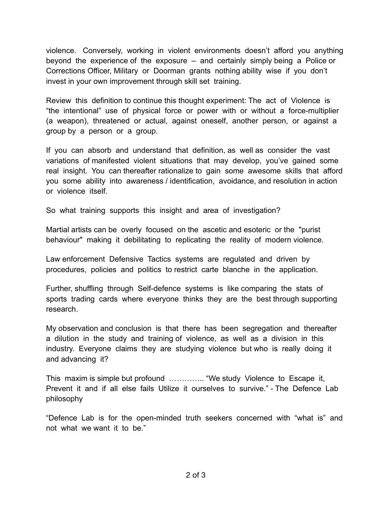violence. Conversely, working in violent environments doesn't afford you anything beyond the experience of the exposure – and certainly simply being a Police or Corrections Officer, Military or Doorman grants nothing ability wise if you don't invest in your own improvement through skill set training.

Review this definition to continue this thought experiment: The act of Violence is "the intentional" use of physical force or power with or without a force-multiplier (a weapon), threatened or actual, against oneself, another person, or against a group by a person or a group.

If you can absorb and understand that definition, as well as consider the vast variations of manifested violent situations that may develop, you've gained some real insight. You can thereafter rationalize to gain some awesome skills that afford you some ability into awareness / identification, avoidance, and resolution in action or violence itself.

So what training supports this insight and area of investigation?

Martial artists can be overly focused on the ascetic and esoteric or the "purist behaviour" making it debilitating to replicating the reality of modern violence.

Law enforcement Defensive Tactics systems are regulated and driven by procedures, policies and politics to restrict carte blanche in the application.

Further, shuffling through Self-defence systems is like comparing the stats of sports trading cards where everyone thinks they are the best through supporting research.

My observation and conclusion is that there has been segregation and thereafter a dilution in the study and training of violence, as well as a division in this industry. Everyone claims they are studying violence but who is really doing it and advancing it?

This maxim is simple but profound ………….. "We study Violence to Escape it, Prevent it and if all else fails Utilize it ourselves to survive." - The Defence Lab philosophy

"Defence Lab is for the open-minded truth seekers concerned with "what is" and not what we want it to be."